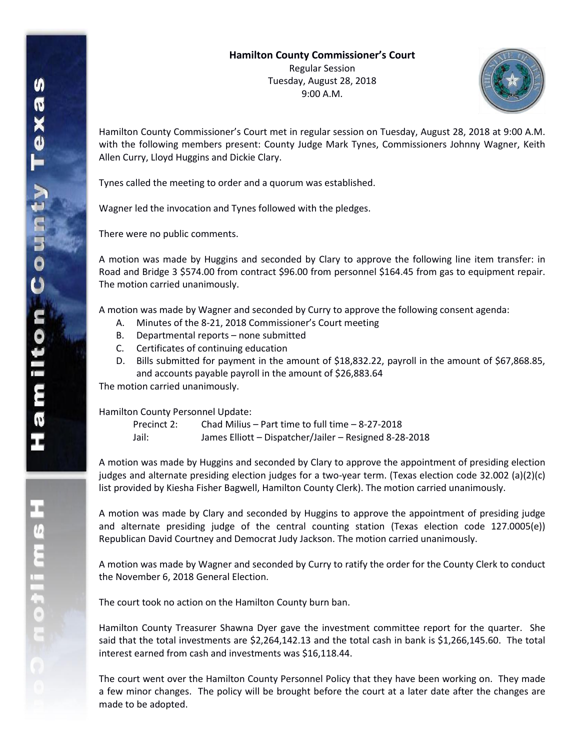

Hamilton County Commissioner's Court met in regular session on Tuesday, August 28, 2018 at 9:00 A.M. with the following members present: County Judge Mark Tynes, Commissioners Johnny Wagner, Keith Allen Curry, Lloyd Huggins and Dickie Clary.

Tynes called the meeting to order and a quorum was established.

Wagner led the invocation and Tynes followed with the pledges.

There were no public comments.

A motion was made by Huggins and seconded by Clary to approve the following line item transfer: in Road and Bridge 3 \$574.00 from contract \$96.00 from personnel \$164.45 from gas to equipment repair. The motion carried unanimously.

A motion was made by Wagner and seconded by Curry to approve the following consent agenda:

- A. Minutes of the 8-21, 2018 Commissioner's Court meeting
- B. Departmental reports none submitted
- C. Certificates of continuing education
- D. Bills submitted for payment in the amount of \$18,832.22, payroll in the amount of \$67,868.85, and accounts payable payroll in the amount of \$26,883.64

The motion carried unanimously.

Hamilton County Personnel Update:

| Precinct 2: | Chad Milius – Part time to full time – 8-27-2018       |
|-------------|--------------------------------------------------------|
| Jail:       | James Elliott - Dispatcher/Jailer - Resigned 8-28-2018 |

A motion was made by Huggins and seconded by Clary to approve the appointment of presiding election judges and alternate presiding election judges for a two-year term. (Texas election code 32.002 (a)(2)(c) list provided by Kiesha Fisher Bagwell, Hamilton County Clerk). The motion carried unanimously.

A motion was made by Clary and seconded by Huggins to approve the appointment of presiding judge and alternate presiding judge of the central counting station (Texas election code 127.0005(e)) Republican David Courtney and Democrat Judy Jackson. The motion carried unanimously.

A motion was made by Wagner and seconded by Curry to ratify the order for the County Clerk to conduct the November 6, 2018 General Election.

The court took no action on the Hamilton County burn ban.

Hamilton County Treasurer Shawna Dyer gave the investment committee report for the quarter. She said that the total investments are \$2,264,142.13 and the total cash in bank is \$1,266,145.60. The total interest earned from cash and investments was \$16,118.44.

The court went over the Hamilton County Personnel Policy that they have been working on. They made a few minor changes. The policy will be brought before the court at a later date after the changes are made to be adopted.

**H**<br>Continue